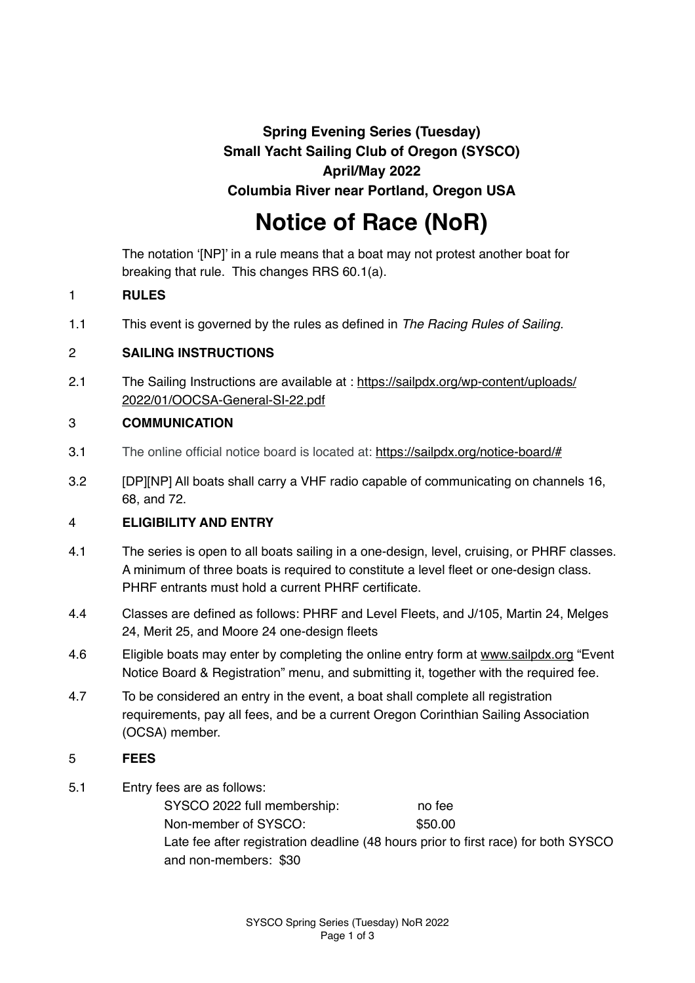# **Spring Evening Series (Tuesday) Small Yacht Sailing Club of Oregon (SYSCO) April/May 2022 Columbia River near Portland, Oregon USA**

# **Notice of Race (NoR)**

The notation '[NP]' in a rule means that a boat may not protest another boat for breaking that rule. This changes RRS 60.1(a).

# 1 **RULES**

1.1 This event is governed by the rules as defined in *The Racing Rules of Sailing.*

# 2 **SAILING INSTRUCTIONS**

2.1 [The Sailing Instructions are available at : https://sailpdx.org/wp-content/uploads/](https://sailpdx.org/wp-content/uploads/2022/01/OOCSA-General-SI-22.pdf) 2022/01/OOCSA-General-SI-22.pdf

# 3 **COMMUNICATION**

- 3.1 The online official notice board is located at: <https://sailpdx.org/notice-board/#>
- 3.2 [DP][NP] All boats shall carry a VHF radio capable of communicating on channels 16, 68, and 72.

# 4 **ELIGIBILITY AND ENTRY**

- 4.1 The series is open to all boats sailing in a one-design, level, cruising, or PHRF classes. A minimum of three boats is required to constitute a level fleet or one-design class. PHRF entrants must hold a current PHRF certificate.
- 4.4 Classes are defined as follows: PHRF and Level Fleets, and J/105, Martin 24, Melges 24, Merit 25, and Moore 24 one-design fleets
- 4.6 Eligible boats may enter by completing the online entry form at [www.sailpdx.org](http://www.sailpdx.org) "Event" Notice Board & Registration" menu, and submitting it, together with the required fee.
- 4.7 To be considered an entry in the event, a boat shall complete all registration requirements, pay all fees, and be a current Oregon Corinthian Sailing Association (OCSA) member.

# 5 **FEES**

- 5.1 Entry fees are as follows:
	- SYSCO 2022 full membership: no fee Non-member of SYSCO: \$50.00 Late fee after registration deadline (48 hours prior to first race) for both SYSCO and non-members: \$30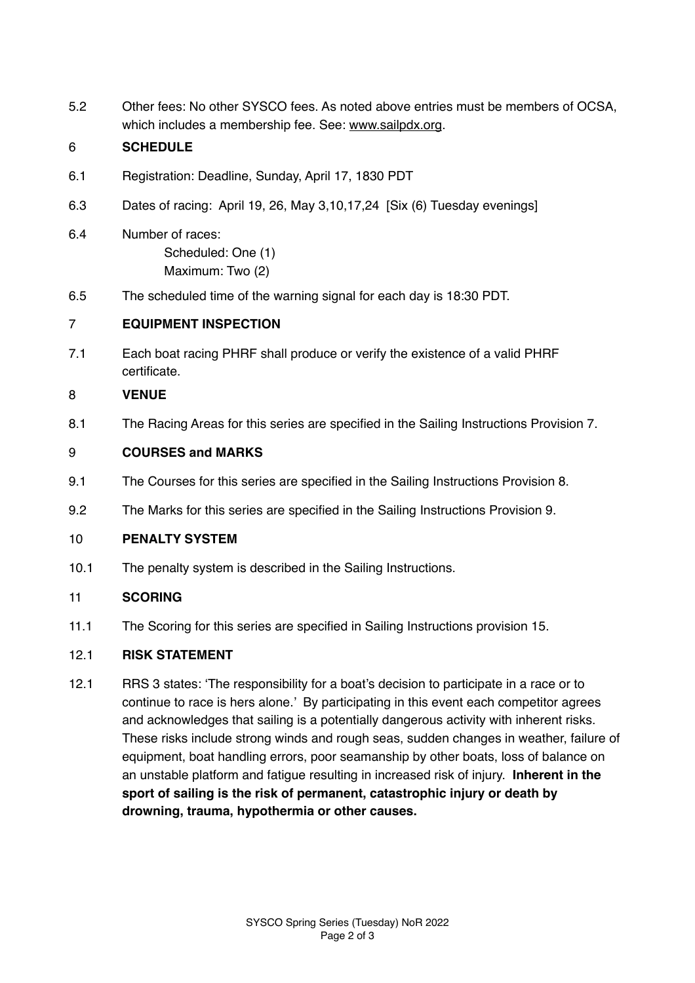5.2 Other fees: No other SYSCO fees. As noted above entries must be members of OCSA, which includes a membership fee. See: [www.sailpdx.org](http://www.sailpdx.org).

# 6 **SCHEDULE**

- 6.1 Registration: Deadline, Sunday, April 17, 1830 PDT
- 6.3 Dates of racing: April 19, 26, May 3,10,17,24 [Six (6) Tuesday evenings]
- 6.4 Number of races: Scheduled: One (1) Maximum: Two (2)
- 6.5 The scheduled time of the warning signal for each day is 18:30 PDT.

# 7 **EQUIPMENT INSPECTION**

7.1 Each boat racing PHRF shall produce or verify the existence of a valid PHRF certificate.

#### 8 **VENUE**

8.1 The Racing Areas for this series are specified in the Sailing Instructions Provision 7.

#### 9 **COURSES and MARKS**

- 9.1 The Courses for this series are specified in the Sailing Instructions Provision 8.
- 9.2 The Marks for this series are specified in the Sailing Instructions Provision 9.

#### 10 **PENALTY SYSTEM**

10.1 The penalty system is described in the Sailing Instructions.

# 11 **SCORING**

11.1 The Scoring for this series are specified in Sailing Instructions provision 15.

# 12.1 **RISK STATEMENT**

12.1 RRS 3 states: 'The responsibility for a boat's decision to participate in a race or to continue to race is hers alone.' By participating in this event each competitor agrees and acknowledges that sailing is a potentially dangerous activity with inherent risks. These risks include strong winds and rough seas, sudden changes in weather, failure of equipment, boat handling errors, poor seamanship by other boats, loss of balance on an unstable platform and fatigue resulting in increased risk of injury. **Inherent in the sport of sailing is the risk of permanent, catastrophic injury or death by drowning, trauma, hypothermia or other causes.**